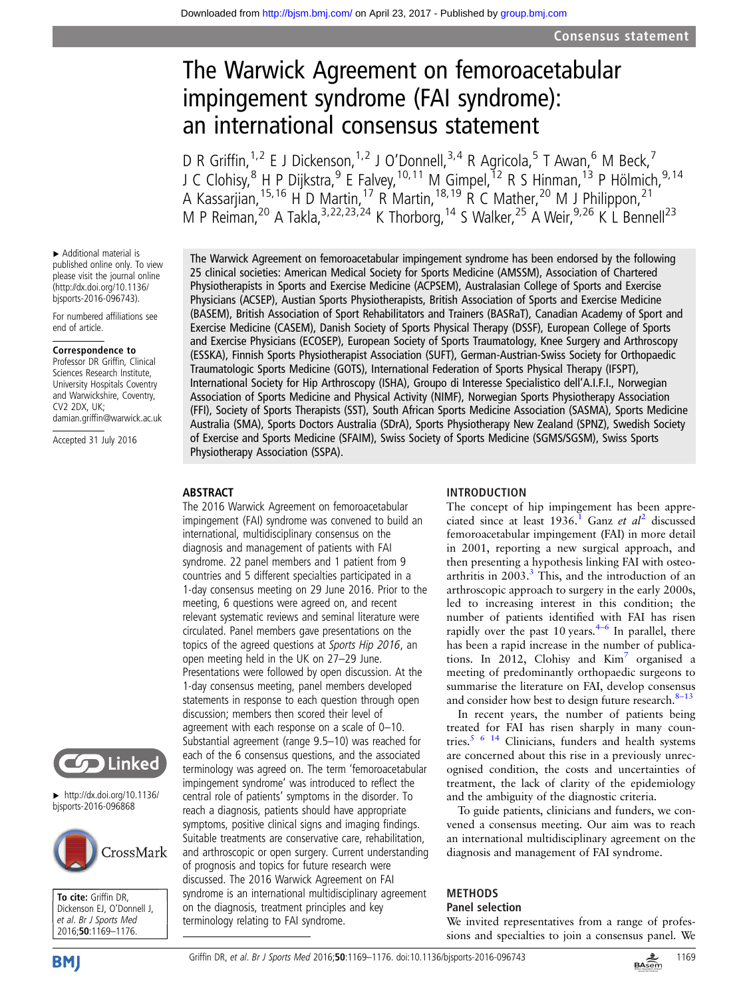# The Warwick Agreement on femoroacetabular impingement syndrome (FAI syndrome): an international consensus statement

D R Griffin,<sup>1,2</sup> E J Dickenson,<sup>1,2</sup> J O'Donnell,<sup>3,4</sup> R Agricola,<sup>5</sup> T Awan,<sup>6</sup> M Beck,<sup>7</sup> J C Clohisy,<sup>8</sup> H P Dijkstra,<sup>9</sup> E Falvey,<sup>10,11</sup> M Gimpel,<sup>12</sup> R S Hinman,<sup>13</sup> P Hölmich,<sup>9,14</sup> A Kassarjian, <sup>15, 16</sup> H D Martin, <sup>17</sup> R Martin, <sup>18, 19</sup> R C Mather, <sup>20</sup> M J Philippon, <sup>21</sup> M P Reiman,<sup>20</sup> A Takla,<sup>3,22,23,24</sup> K Thorborg,<sup>14</sup> S Walker,<sup>25</sup> A Weir,<sup>9,26</sup> K L Bennell<sup>23</sup>

▸ Additional material is published online only. To view please visit the journal online [\(http://dx.doi.org/10.1136/](http://dx.doi.org/10.1136/bjsports-2016-096743) [bjsports-2016-096743](http://dx.doi.org/10.1136/bjsports-2016-096743)).

For numbered affiliations see end of article.

#### Correspondence to

Professor DR Griffin, Clinical Sciences Research Institute, University Hospitals Coventry and Warwickshire, Coventry, CV2 2DX, UK; damian.griffin@warwick.ac.uk

Accepted 31 July 2016



 $\blacktriangleright$  [http://dx.doi.org/10.1136/](http://dx.doi.org/10.1136/bjsports-2016-096868) [bjsports-2016-096868](http://dx.doi.org/10.1136/bjsports-2016-096868)



To cite: Griffin DR, Dickenson EJ, O'Donnell J, et al. Br J Sports Med 2016;50:1169–1176.

The Warwick Agreement on femoroacetabular impingement syndrome has been endorsed by the following 25 clinical societies: American Medical Society for Sports Medicine (AMSSM), Association of Chartered Physiotherapists in Sports and Exercise Medicine (ACPSEM), Australasian College of Sports and Exercise Physicians (ACSEP), Austian Sports Physiotherapists, British Association of Sports and Exercise Medicine (BASEM), British Association of Sport Rehabilitators and Trainers (BASRaT), Canadian Academy of Sport and Exercise Medicine (CASEM), Danish Society of Sports Physical Therapy (DSSF), European College of Sports and Exercise Physicians (ECOSEP), European Society of Sports Traumatology, Knee Surgery and Arthroscopy (ESSKA), Finnish Sports Physiotherapist Association (SUFT), German-Austrian-Swiss Society for Orthopaedic Traumatologic Sports Medicine (GOTS), International Federation of Sports Physical Therapy (IFSPT), International Society for Hip Arthroscopy (ISHA), Groupo di Interesse Specialistico dell'A.I.F.I., Norwegian Association of Sports Medicine and Physical Activity (NIMF), Norwegian Sports Physiotherapy Association (FFI), Society of Sports Therapists (SST), South African Sports Medicine Association (SASMA), Sports Medicine Australia (SMA), Sports Doctors Australia (SDrA), Sports Physiotherapy New Zealand (SPNZ), Swedish Society of Exercise and Sports Medicine (SFAIM), Swiss Society of Sports Medicine (SGMS/SGSM), Swiss Sports Physiotherapy Association (SSPA).

# ABSTRACT

The 2016 Warwick Agreement on femoroacetabular impingement (FAI) syndrome was convened to build an international, multidisciplinary consensus on the diagnosis and management of patients with FAI syndrome. 22 panel members and 1 patient from 9 countries and 5 different specialties participated in a 1-day consensus meeting on 29 June 2016. Prior to the meeting, 6 questions were agreed on, and recent relevant systematic reviews and seminal literature were circulated. Panel members gave presentations on the topics of the agreed questions at Sports Hip 2016, an open meeting held in the UK on 27–29 June. Presentations were followed by open discussion. At the 1-day consensus meeting, panel members developed statements in response to each question through open discussion; members then scored their level of agreement with each response on a scale of 0–10. Substantial agreement (range 9.5–10) was reached for each of the 6 consensus questions, and the associated terminology was agreed on. The term 'femoroacetabular impingement syndrome' was introduced to reflect the central role of patients' symptoms in the disorder. To reach a diagnosis, patients should have appropriate symptoms, positive clinical signs and imaging findings. Suitable treatments are conservative care, rehabilitation, and arthroscopic or open surgery. Current understanding of prognosis and topics for future research were discussed. The 2016 Warwick Agreement on FAI syndrome is an international multidisciplinary agreement on the diagnosis, treatment principles and key terminology relating to FAI syndrome.

# INTRODUCTION

The concept of hip impingement has been appreciated since at least  $1936$ .<sup>1</sup> Ganz et al<sup>[2](#page-6-0)</sup> discussed femoroacetabular impingement (FAI) in more detail in 2001, reporting a new surgical approach, and then presenting a hypothesis linking FAI with osteoarthritis in  $2003<sup>3</sup>$  $2003<sup>3</sup>$  $2003<sup>3</sup>$ . This, and the introduction of an arthroscopic approach to surgery in the early 2000s, led to increasing interest in this condition; the number of patients identified with FAI has risen rapidly over the past 10 years.<sup>4–[6](#page-6-0)</sup> In parallel, there has been a rapid increase in the number of publications. In 2012, Clohisy and  $Kim<sup>7</sup>$  organised a meeting of predominantly orthopaedic surgeons to summarise the literature on FAI, develop consensus and consider how best to design future research.<sup>8-[13](#page-6-0)</sup>

In recent years, the number of patients being treated for FAI has risen sharply in many coun-tries.<sup>[5 6 14](#page-6-0)</sup> Clinicians, funders and health systems are concerned about this rise in a previously unrecognised condition, the costs and uncertainties of treatment, the lack of clarity of the epidemiology and the ambiguity of the diagnostic criteria.

To guide patients, clinicians and funders, we convened a consensus meeting. Our aim was to reach an international multidisciplinary agreement on the diagnosis and management of FAI syndrome.

#### METHODS Panel selection

We invited representatives from a range of professions and specialties to join a consensus panel. We

**BMI** 

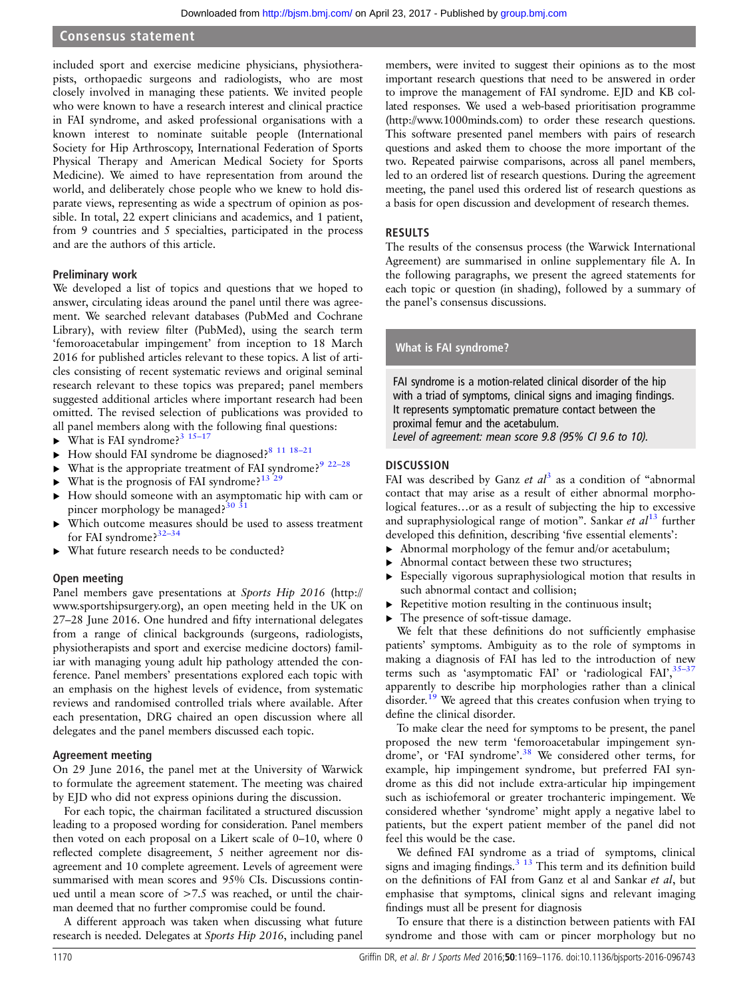## Consensus statement

included sport and exercise medicine physicians, physiotherapists, orthopaedic surgeons and radiologists, who are most closely involved in managing these patients. We invited people who were known to have a research interest and clinical practice in FAI syndrome, and asked professional organisations with a known interest to nominate suitable people (International Society for Hip Arthroscopy, International Federation of Sports Physical Therapy and American Medical Society for Sports Medicine). We aimed to have representation from around the world, and deliberately chose people who we knew to hold disparate views, representing as wide a spectrum of opinion as possible. In total, 22 expert clinicians and academics, and 1 patient, from 9 countries and 5 specialties, participated in the process and are the authors of this article.

#### Preliminary work

We developed a list of topics and questions that we hoped to answer, circulating ideas around the panel until there was agreement. We searched relevant databases (PubMed and Cochrane Library), with review filter (PubMed), using the search term 'femoroacetabular impingement' from inception to 18 March 2016 for published articles relevant to these topics. A list of articles consisting of recent systematic reviews and original seminal research relevant to these topics was prepared; panel members suggested additional articles where important research had been omitted. The revised selection of publications was provided to all panel members along with the following final questions:

- $\blacktriangleright$  What is FAI syndrome?<sup>3</sup> <sup>15–17</sup>
- $\blacktriangleright$  How should FAI syndrome be diagnosed?<sup>[8 11 18](#page-6-0)-21</sup>
- What is the appropriate treatment of FAI syndrome?<sup>9</sup>  $22-28$
- $\blacktriangleright$  What is the prognosis of FAI syndrome?<sup>[13 29](#page-6-0)</sup>
- ▸ How should someone with an asymptomatic hip with cam or pincer morphology be managed?<sup>30</sup> <sup>31</sup>
- Which outcome measures should be used to assess treatment for FAI syndrome?<sup>32-34</sup>
- What future research needs to be conducted?

#### Open meeting

Panel members gave presentations at Sports Hip 2016 [\(http://](http://www.sportshipsurgery.org) [www.sportshipsurgery.org\)](http://www.sportshipsurgery.org), an open meeting held in the UK on 27–28 June 2016. One hundred and fifty international delegates from a range of clinical backgrounds (surgeons, radiologists, physiotherapists and sport and exercise medicine doctors) familiar with managing young adult hip pathology attended the conference. Panel members' presentations explored each topic with an emphasis on the highest levels of evidence, from systematic reviews and randomised controlled trials where available. After each presentation, DRG chaired an open discussion where all delegates and the panel members discussed each topic.

#### Agreement meeting

On 29 June 2016, the panel met at the University of Warwick to formulate the agreement statement. The meeting was chaired by EJD who did not express opinions during the discussion.

For each topic, the chairman facilitated a structured discussion leading to a proposed wording for consideration. Panel members then voted on each proposal on a Likert scale of 0–10, where 0 reflected complete disagreement, 5 neither agreement nor disagreement and 10 complete agreement. Levels of agreement were summarised with mean scores and 95% CIs. Discussions continued until a mean score of  $>7.5$  was reached, or until the chairman deemed that no further compromise could be found.

A different approach was taken when discussing what future research is needed. Delegates at Sports Hip 2016, including panel

members, were invited to suggest their opinions as to the most important research questions that need to be answered in order to improve the management of FAI syndrome. EJD and KB collated responses. We used a web-based prioritisation programme [\(http://www.1000minds.com](http://www.1000minds.com)) to order these research questions. This software presented panel members with pairs of research questions and asked them to choose the more important of the two. Repeated pairwise comparisons, across all panel members, led to an ordered list of research questions. During the agreement meeting, the panel used this ordered list of research questions as a basis for open discussion and development of research themes.

## RESULTS

The results of the consensus process (the Warwick International Agreement) are summarised in online supplementary file A. In the following paragraphs, we present the agreed statements for each topic or question (in shading), followed by a summary of the panel's consensus discussions.

#### What is FAI syndrome?

FAI syndrome is a motion-related clinical disorder of the hip with a triad of symptoms, clinical signs and imaging findings. It represents symptomatic premature contact between the proximal femur and the acetabulum. Level of agreement: mean score 9.8 (95% CI 9.6 to 10).

#### **DISCUSSION**

FAI was described by Ganz et  $al^3$  $al^3$  as a condition of "abnormal contact that may arise as a result of either abnormal morphological features…or as a result of subjecting the hip to excessive and supraphysiological range of motion". Sankar et  $al<sup>13</sup>$  $al<sup>13</sup>$  $al<sup>13</sup>$  further developed this definition, describing 'five essential elements':

- ▸ Abnormal morphology of the femur and/or acetabulum;
- Abnormal contact between these two structures;
- ▸ Especially vigorous supraphysiological motion that results in such abnormal contact and collision;
- $\triangleright$  Repetitive motion resulting in the continuous insult;
- ▸ The presence of soft-tissue damage.

We felt that these definitions do not sufficiently emphasise patients' symptoms. Ambiguity as to the role of symptoms in making a diagnosis of FAI has led to the introduction of new terms such as 'asymptomatic FAI' or 'radiological FAI', [35](#page-6-0)-37 apparently to describe hip morphologies rather than a clinical disorder.<sup>[19](#page-6-0)</sup> We agreed that this creates confusion when trying to define the clinical disorder.

To make clear the need for symptoms to be present, the panel proposed the new term 'femoroacetabular impingement syndrome', or 'FAI syndrome'. [38](#page-6-0) We considered other terms, for example, hip impingement syndrome, but preferred FAI syndrome as this did not include extra-articular hip impingement such as ischiofemoral or greater trochanteric impingement. We considered whether 'syndrome' might apply a negative label to patients, but the expert patient member of the panel did not feel this would be the case.

We defined FAI syndrome as a triad of symptoms, clinical signs and imaging findings. $3\frac{13}{13}$  This term and its definition build on the definitions of FAI from Ganz et al and Sankar et al, but emphasise that symptoms, clinical signs and relevant imaging findings must all be present for diagnosis

To ensure that there is a distinction between patients with FAI syndrome and those with cam or pincer morphology but no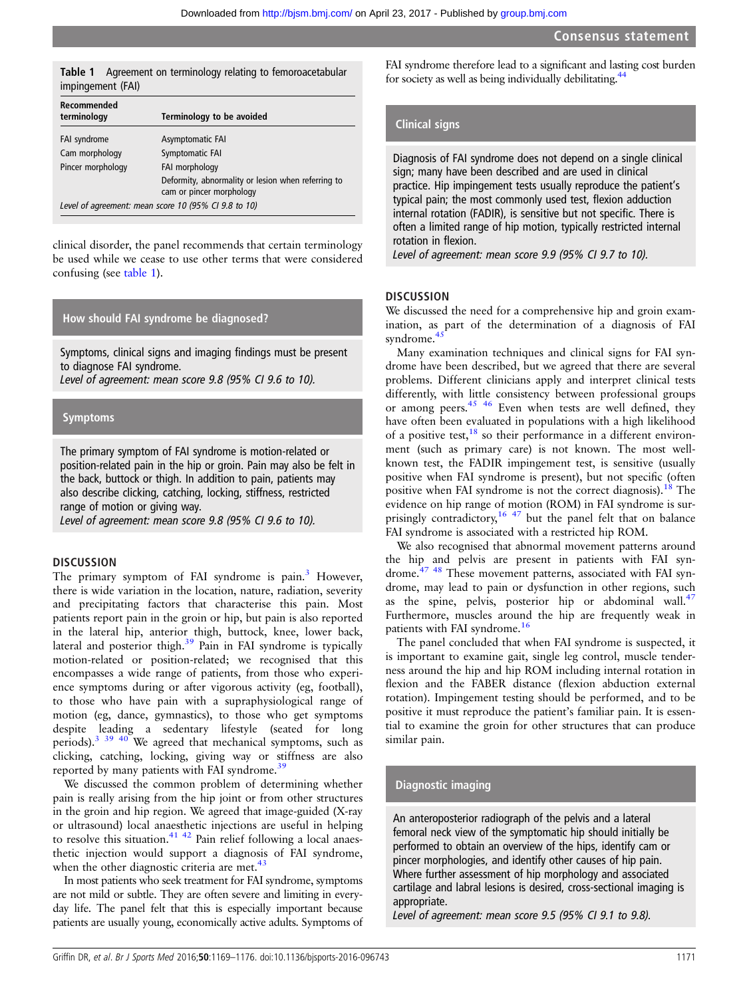#### Table 1 Agreement on terminology relating to femoroacetabular impingement (FAI)

| Recommended<br>terminology                           | Terminology to be avoided                                                      |  |  |
|------------------------------------------------------|--------------------------------------------------------------------------------|--|--|
| FAI syndrome                                         | Asymptomatic FAI                                                               |  |  |
| Cam morphology                                       | Symptomatic FAI                                                                |  |  |
| Pincer morphology                                    | FAI morphology                                                                 |  |  |
|                                                      | Deformity, abnormality or lesion when referring to<br>cam or pincer morphology |  |  |
| Level of agreement: mean score 10 (95% CI 9.8 to 10) |                                                                                |  |  |

clinical disorder, the panel recommends that certain terminology be used while we cease to use other terms that were considered confusing (see table 1).

### How should FAI syndrome be diagnosed?

Symptoms, clinical signs and imaging findings must be present to diagnose FAI syndrome.

Level of agreement: mean score 9.8 (95% CI 9.6 to 10).

# Symptoms

The primary symptom of FAI syndrome is motion-related or position-related pain in the hip or groin. Pain may also be felt in the back, buttock or thigh. In addition to pain, patients may also describe clicking, catching, locking, stiffness, restricted range of motion or giving way.

Level of agreement: mean score 9.8 (95% CI 9.6 to 10).

#### **DISCUSSION**

The primary symptom of FAI syndrome is pain.<sup>[3](#page-6-0)</sup> However, there is wide variation in the location, nature, radiation, severity and precipitating factors that characterise this pain. Most patients report pain in the groin or hip, but pain is also reported in the lateral hip, anterior thigh, buttock, knee, lower back, lateral and posterior thigh.<sup>[39](#page-6-0)</sup> Pain in FAI syndrome is typically motion-related or position-related; we recognised that this encompasses a wide range of patients, from those who experience symptoms during or after vigorous activity (eg, football), to those who have pain with a supraphysiological range of motion (eg, dance, gymnastics), to those who get symptoms despite leading a sedentary lifestyle (seated for long periods).<sup>[3 39 40](#page-6-0)</sup> We agreed that mechanical symptoms, such as clicking, catching, locking, giving way or stiffness are also reported by many patients with FAI syndrome.[39](#page-6-0)

We discussed the common problem of determining whether pain is really arising from the hip joint or from other structures in the groin and hip region. We agreed that image-guided (X-ray or ultrasound) local anaesthetic injections are useful in helping to resolve this situation. $41$   $42$  Pain relief following a local anaesthetic injection would support a diagnosis of FAI syndrome, when the other diagnostic criteria are met. $43$ 

In most patients who seek treatment for FAI syndrome, symptoms are not mild or subtle. They are often severe and limiting in everyday life. The panel felt that this is especially important because patients are usually young, economically active adults. Symptoms of FAI syndrome therefore lead to a significant and lasting cost burden for society as well as being individually debilitating. $44$ 

# Clinical signs

Diagnosis of FAI syndrome does not depend on a single clinical sign; many have been described and are used in clinical practice. Hip impingement tests usually reproduce the patient's typical pain; the most commonly used test, flexion adduction internal rotation (FADIR), is sensitive but not specific. There is often a limited range of hip motion, typically restricted internal rotation in flexion.

Level of agreement: mean score 9.9 (95% CI 9.7 to 10).

#### **DISCUSSION**

We discussed the need for a comprehensive hip and groin examination, as part of the determination of a diagnosis of FAI syndrome.<sup>4</sup>

Many examination techniques and clinical signs for FAI syndrome have been described, but we agreed that there are several problems. Different clinicians apply and interpret clinical tests differently, with little consistency between professional groups or among peers.<sup>45 46</sup> Even when tests are well defined, they have often been evaluated in populations with a high likelihood of a positive test,  $\frac{18}{18}$  $\frac{18}{18}$  $\frac{18}{18}$  so their performance in a different environment (such as primary care) is not known. The most wellknown test, the FADIR impingement test, is sensitive (usually positive when FAI syndrome is present), but not specific (often positive when FAI syndrome is not the correct diagnosis).<sup>[18](#page-6-0)</sup> The evidence on hip range of motion (ROM) in FAI syndrome is sur-prisingly contradictory,<sup>[16](#page-6-0) [47](#page-7-0)</sup> but the panel felt that on balance FAI syndrome is associated with a restricted hip ROM.

We also recognised that abnormal movement patterns around the hip and pelvis are present in patients with FAI syndrome.[47 48](#page-7-0) These movement patterns, associated with FAI syndrome, may lead to pain or dysfunction in other regions, such as the spine, pelvis, posterior hip or abdominal wall. $47$ Furthermore, muscles around the hip are frequently weak in patients with FAI syndrome.<sup>[16](#page-6-0)</sup>

The panel concluded that when FAI syndrome is suspected, it is important to examine gait, single leg control, muscle tenderness around the hip and hip ROM including internal rotation in flexion and the FABER distance (flexion abduction external rotation). Impingement testing should be performed, and to be positive it must reproduce the patient's familiar pain. It is essential to examine the groin for other structures that can produce similar pain.

# Diagnostic imaging

An anteroposterior radiograph of the pelvis and a lateral femoral neck view of the symptomatic hip should initially be performed to obtain an overview of the hips, identify cam or pincer morphologies, and identify other causes of hip pain. Where further assessment of hip morphology and associated cartilage and labral lesions is desired, cross-sectional imaging is appropriate.

Level of agreement: mean score 9.5 (95% CI 9.1 to 9.8).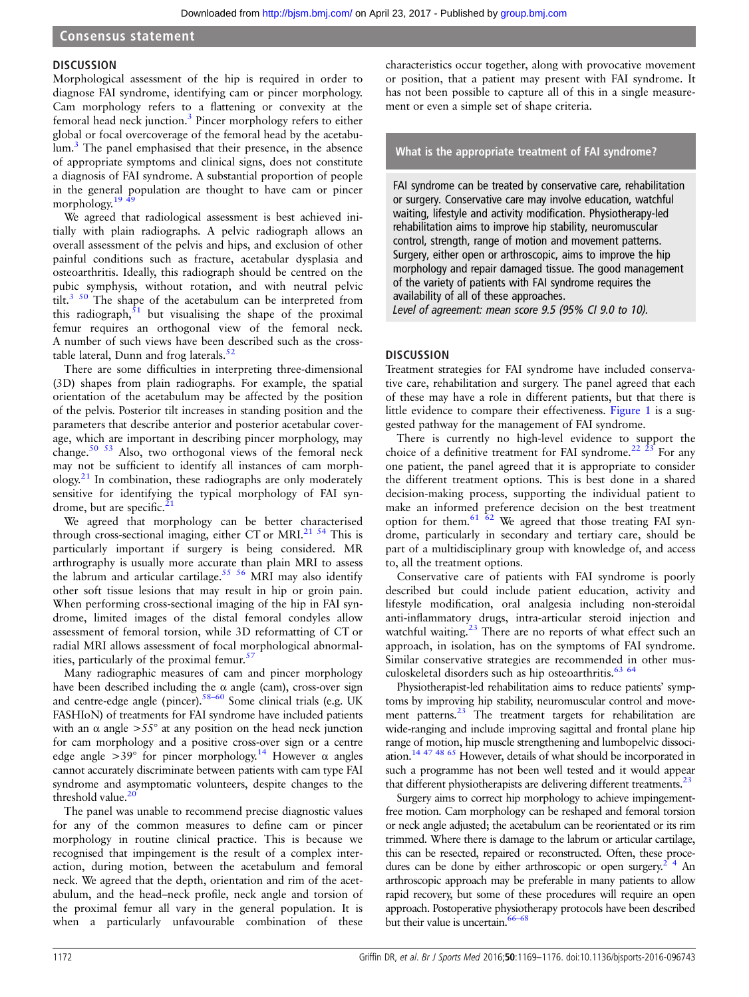# **DISCUSSION**

Morphological assessment of the hip is required in order to diagnose FAI syndrome, identifying cam or pincer morphology. Cam morphology refers to a flattening or convexity at the femoral head neck junction.[3](#page-6-0) Pincer morphology refers to either global or focal overcoverage of the femoral head by the acetabulum.<sup>3</sup> The panel emphasised that their presence, in the absence of appropriate symptoms and clinical signs, does not constitute a diagnosis of FAI syndrome. A substantial proportion of people in the general population are thought to have cam or pincer morphology. $19$ 

We agreed that radiological assessment is best achieved initially with plain radiographs. A pelvic radiograph allows an overall assessment of the pelvis and hips, and exclusion of other painful conditions such as fracture, acetabular dysplasia and osteoarthritis. Ideally, this radiograph should be centred on the pubic symphysis, without rotation, and with neutral pelvic tilt.<sup>[3](#page-6-0) [50](#page-7-0)</sup> The shape of the acetabulum can be interpreted from this radiograph, $\frac{51}{1}$  $\frac{51}{1}$  $\frac{51}{1}$  but visualising the shape of the proximal femur requires an orthogonal view of the femoral neck. A number of such views have been described such as the crosstable lateral, Dunn and frog laterals. $52$ 

There are some difficulties in interpreting three-dimensional (3D) shapes from plain radiographs. For example, the spatial orientation of the acetabulum may be affected by the position of the pelvis. Posterior tilt increases in standing position and the parameters that describe anterior and posterior acetabular coverage, which are important in describing pincer morphology, may change.[50 53](#page-7-0) Also, two orthogonal views of the femoral neck may not be sufficient to identify all instances of cam morph- $\omega$ ology.<sup>[21](#page-6-0)</sup> In combination, these radiographs are only moderately sensitive for identifying the typical morphology of FAI syndrome, but are specific. $2$ <sup>2</sup>

We agreed that morphology can be better characterised through cross-sectional imaging, either CT or MRI.<sup>21 [54](#page-7-0)</sup> This is particularly important if surgery is being considered. MR arthrography is usually more accurate than plain MRI to assess the labrum and articular cartilage.<sup>55</sup> 56</sup> MRI may also identify other soft tissue lesions that may result in hip or groin pain. When performing cross-sectional imaging of the hip in FAI syndrome, limited images of the distal femoral condyles allow assessment of femoral torsion, while 3D reformatting of CT or radial MRI allows assessment of focal morphological abnormalities, particularly of the proximal femur. $5<sup>7</sup>$ 

Many radiographic measures of cam and pincer morphology have been described including the  $\alpha$  angle (cam), cross-over sign and centre-edge angle (pincer).[58](#page-7-0)–<sup>60</sup> Some clinical trials (e.g. UK FASHIoN) of treatments for FAI syndrome have included patients with an  $\alpha$  angle  $>55^{\circ}$  at any position on the head neck junction for cam morphology and a positive cross-over sign or a centre edge angle  $>39^{\circ}$  for pincer morphology.<sup>[14](#page-6-0)</sup> However  $\alpha$  angles cannot accurately discriminate between patients with cam type FAI syndrome and asymptomatic volunteers, despite changes to the threshold value.<sup>20</sup>

The panel was unable to recommend precise diagnostic values for any of the common measures to define cam or pincer morphology in routine clinical practice. This is because we recognised that impingement is the result of a complex interaction, during motion, between the acetabulum and femoral neck. We agreed that the depth, orientation and rim of the acetabulum, and the head–neck profile, neck angle and torsion of the proximal femur all vary in the general population. It is when a particularly unfavourable combination of these

characteristics occur together, along with provocative movement or position, that a patient may present with FAI syndrome. It has not been possible to capture all of this in a single measurement or even a simple set of shape criteria.

# What is the appropriate treatment of FAI syndrome?

FAI syndrome can be treated by conservative care, rehabilitation or surgery. Conservative care may involve education, watchful waiting, lifestyle and activity modification. Physiotherapy-led rehabilitation aims to improve hip stability, neuromuscular control, strength, range of motion and movement patterns. Surgery, either open or arthroscopic, aims to improve the hip morphology and repair damaged tissue. The good management of the variety of patients with FAI syndrome requires the availability of all of these approaches.

Level of agreement: mean score 9.5 (95% CI 9.0 to 10).

# **DISCUSSION**

Treatment strategies for FAI syndrome have included conservative care, rehabilitation and surgery. The panel agreed that each of these may have a role in different patients, but that there is little evidence to compare their effectiveness. [Figure 1](#page-4-0) is a suggested pathway for the management of FAI syndrome.

There is currently no high-level evidence to support the choice of a definitive treatment for FAI syndrome.<sup>22</sup>  $\frac{23}{5}$  For any one patient, the panel agreed that it is appropriate to consider the different treatment options. This is best done in a shared decision-making process, supporting the individual patient to make an informed preference decision on the best treatment option for them.<sup>61  $\overline{62}$ </sup> We agreed that those treating FAI syndrome, particularly in secondary and tertiary care, should be part of a multidisciplinary group with knowledge of, and access to, all the treatment options.

Conservative care of patients with FAI syndrome is poorly described but could include patient education, activity and lifestyle modification, oral analgesia including non-steroidal anti-inflammatory drugs, intra-articular steroid injection and watchful waiting. $23$  There are no reports of what effect such an approach, in isolation, has on the symptoms of FAI syndrome. Similar conservative strategies are recommended in other musculoskeletal disorders such as hip osteoarthritis. $63/64$ 

Physiotherapist-led rehabilitation aims to reduce patients' symptoms by improving hip stability, neuromuscular control and movement patterns.<sup>23</sup> The treatment targets for rehabilitation are wide-ranging and include improving sagittal and frontal plane hip range of motion, hip muscle strengthening and lumbopelvic dissociation[.14](#page-6-0) [47 48 65](#page-7-0) However, details of what should be incorporated in such a programme has not been well tested and it would appear that different physiotherapists are delivering different treatments.<sup>2</sup>

Surgery aims to correct hip morphology to achieve impingementfree motion. Cam morphology can be reshaped and femoral torsion or neck angle adjusted; the acetabulum can be reorientated or its rim trimmed. Where there is damage to the labrum or articular cartilage, this can be resected, repaired or reconstructed. Often, these procedures can be done by either arthroscopic or open surgery.<sup>2</sup> 4 An arthroscopic approach may be preferable in many patients to allow rapid recovery, but some of these procedures will require an open approach. Postoperative physiotherapy protocols have been described but their value is uncertain.<sup>[66](#page-7-0)–68</sup>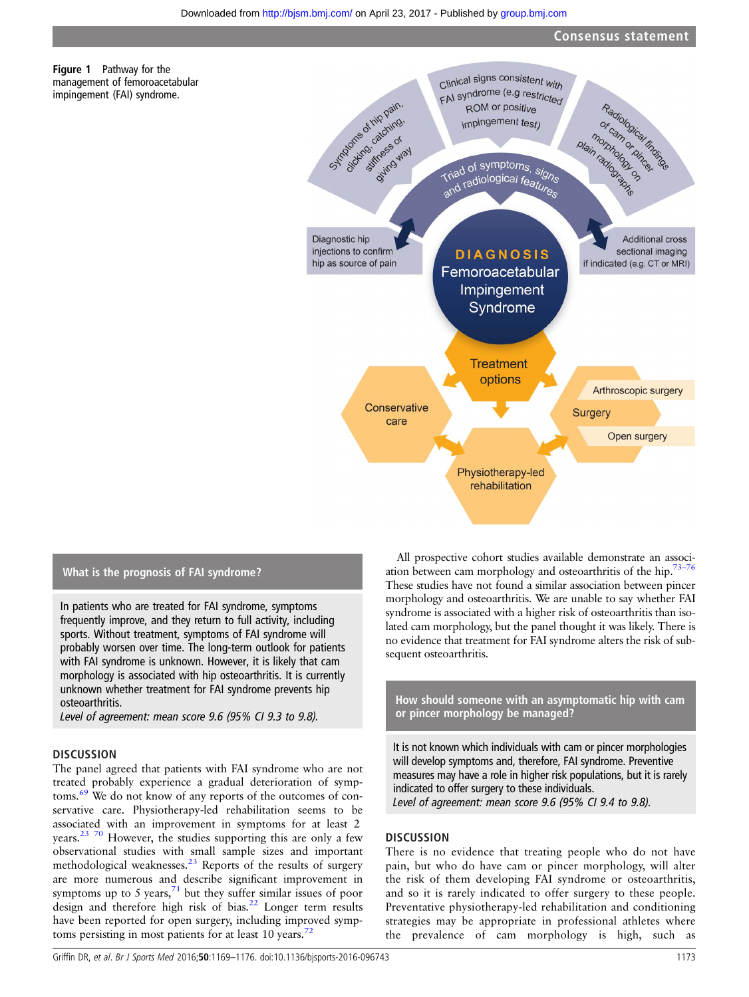

# What is the prognosis of FAI syndrome?

<span id="page-4-0"></span>Figure 1 Pathway for the management of femoroacetabular impingement (FAI) syndrome.

In patients who are treated for FAI syndrome, symptoms frequently improve, and they return to full activity, including sports. Without treatment, symptoms of FAI syndrome will probably worsen over time. The long-term outlook for patients with FAI syndrome is unknown. However, it is likely that cam morphology is associated with hip osteoarthritis. It is currently unknown whether treatment for FAI syndrome prevents hip osteoarthritis.

Level of agreement: mean score 9.6 (95% CI 9.3 to 9.8).

#### **DISCUSSION**

The panel agreed that patients with FAI syndrome who are not treated probably experience a gradual deterioration of symptoms.[69](#page-7-0) We do not know of any reports of the outcomes of conservative care. Physiotherapy-led rehabilitation seems to be associated with an improvement in symptoms for at least 2 years.[23](#page-6-0) [70](#page-7-0) However, the studies supporting this are only a few observational studies with small sample sizes and important methodological weaknesses.<sup>[23](#page-6-0)</sup> Reports of the results of surgery are more numerous and describe significant improvement in symptoms up to 5 years, $\frac{71}{1}$  $\frac{71}{1}$  $\frac{71}{1}$  but they suffer similar issues of poor design and therefore high risk of bias.<sup>[22](#page-6-0)</sup> Longer term results have been reported for open surgery, including improved symptoms persisting in most patients for at least 10 years.<sup>72</sup>

All prospective cohort studies available demonstrate an association between cam morphology and osteoarthritis of the hip.<sup>73–76</sup> These studies have not found a similar association between pincer morphology and osteoarthritis. We are unable to say whether FAI syndrome is associated with a higher risk of osteoarthritis than isolated cam morphology, but the panel thought it was likely. There is no evidence that treatment for FAI syndrome alters the risk of subsequent osteoarthritis.

How should someone with an asymptomatic hip with cam or pincer morphology be managed?

It is not known which individuals with cam or pincer morphologies will develop symptoms and, therefore, FAI syndrome. Preventive measures may have a role in higher risk populations, but it is rarely indicated to offer surgery to these individuals.<br>Level of agreement: mean score 9.6 (95% CI 9.4 to 9.8). Level of agreement: mean score 9.6 (95% CI 9.4 to 9.8).

### **DISCUSSION**

There is no evidence that treating people who do not have pain, but who do have cam or pincer morphology, will alter the risk of them developing FAI syndrome or osteoarthritis, and so it is rarely indicated to offer surgery to these people. Preventative physiotherapy-led rehabilitation and conditioning strategies may be appropriate in professional athletes where the prevalence of cam morphology is high, such as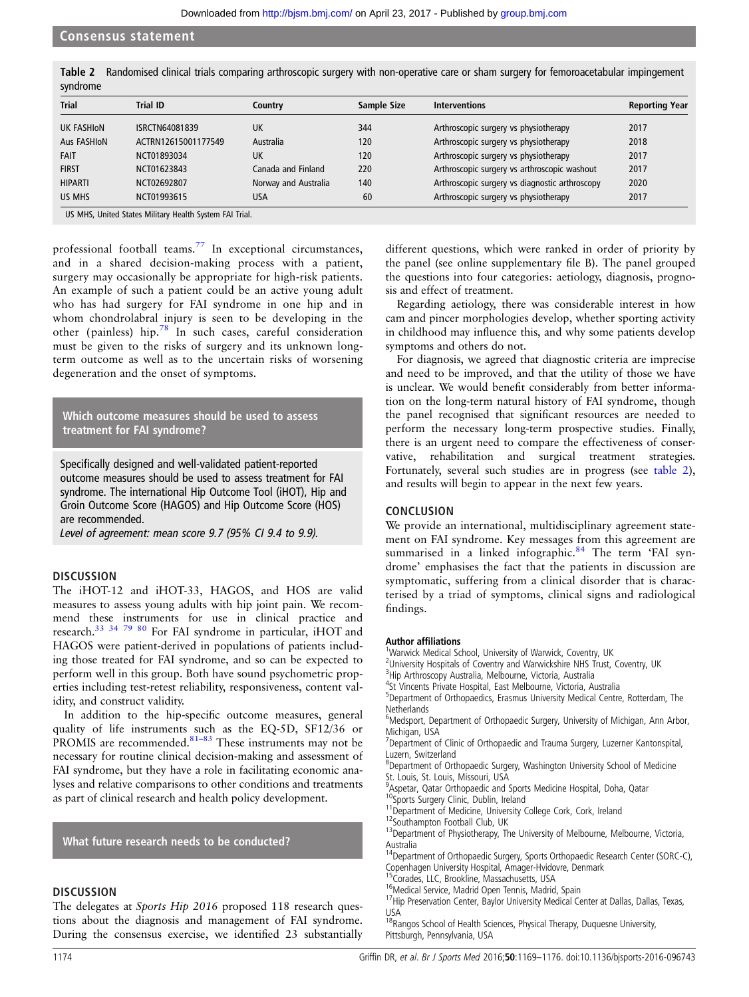Table 2 Randomised clinical trials comparing arthroscopic surgery with non-operative care or sham surgery for femoroacetabular impingement syndrome

| <b>Trial</b>   | <b>Trial ID</b>     | Country              | Sample Size | <b>Interventions</b>                           | <b>Reporting Year</b> |
|----------------|---------------------|----------------------|-------------|------------------------------------------------|-----------------------|
| UK FASHION     | ISRCTN64081839      | UK                   | 344         | Arthroscopic surgery vs physiotherapy          | 2017                  |
| Aus FASHION    | ACTRN12615001177549 | Australia            | 120         | Arthroscopic surgery vs physiotherapy          | 2018                  |
| FAIT           | NCT01893034         | UK                   | 120         | Arthroscopic surgery vs physiotherapy          | 2017                  |
| <b>FIRST</b>   | NCT01623843         | Canada and Finland   | 220         | Arthroscopic surgery vs arthroscopic washout   | 2017                  |
| <b>HIPARTI</b> | NCT02692807         | Norway and Australia | 140         | Arthroscopic surgery vs diagnostic arthroscopy | 2020                  |
| US MHS         | NCT01993615         | <b>USA</b>           | 60          | Arthroscopic surgery vs physiotherapy          | 2017                  |

US MHS, United States Military Health System FAI Trial.

professional football teams.[77](#page-7-0) In exceptional circumstances, and in a shared decision-making process with a patient, surgery may occasionally be appropriate for high-risk patients. An example of such a patient could be an active young adult who has had surgery for FAI syndrome in one hip and in whom chondrolabral injury is seen to be developing in the other ( painless) hip.[78](#page-7-0) In such cases, careful consideration must be given to the risks of surgery and its unknown longterm outcome as well as to the uncertain risks of worsening degeneration and the onset of symptoms.

Which outcome measures should be used to assess treatment for FAI syndrome?

Specifically designed and well-validated patient-reported outcome measures should be used to assess treatment for FAI syndrome. The international Hip Outcome Tool (iHOT), Hip and Groin Outcome Score (HAGOS) and Hip Outcome Score (HOS) are recommended.

Level of agreement: mean score 9.7 (95% CI 9.4 to 9.9).

#### **DISCUSSION**

The iHOT-12 and iHOT-33, HAGOS, and HOS are valid measures to assess young adults with hip joint pain. We recommend these instruments for use in clinical practice and research.<sup>[33 34](#page-6-0) [79 80](#page-7-0)</sup> For FAI syndrome in particular, iHOT and HAGOS were patient-derived in populations of patients including those treated for FAI syndrome, and so can be expected to perform well in this group. Both have sound psychometric properties including test-retest reliability, responsiveness, content validity, and construct validity.

In addition to the hip-specific outcome measures, general quality of life instruments such as the EQ-5D, SF12/36 or PROMIS are recommended.<sup>81-[83](#page-7-0)</sup> These instruments may not be necessary for routine clinical decision-making and assessment of FAI syndrome, but they have a role in facilitating economic analyses and relative comparisons to other conditions and treatments as part of clinical research and health policy development.

What future research needs to be conducted?

#### **DISCUSSION**

The delegates at *Sports Hip* 2016 proposed 118 research questions about the diagnosis and management of FAI syndrome. During the consensus exercise, we identified 23 substantially

different questions, which were ranked in order of priority by the panel (see online supplementary file B). The panel grouped the questions into four categories: aetiology, diagnosis, prognosis and effect of treatment.

Regarding aetiology, there was considerable interest in how cam and pincer morphologies develop, whether sporting activity in childhood may influence this, and why some patients develop symptoms and others do not.

For diagnosis, we agreed that diagnostic criteria are imprecise and need to be improved, and that the utility of those we have is unclear. We would benefit considerably from better information on the long-term natural history of FAI syndrome, though the panel recognised that significant resources are needed to perform the necessary long-term prospective studies. Finally, there is an urgent need to compare the effectiveness of conservative, rehabilitation and surgical treatment strategies. Fortunately, several such studies are in progress (see table 2), and results will begin to appear in the next few years.

#### **CONCLUSION**

We provide an international, multidisciplinary agreement statement on FAI syndrome. Key messages from this agreement are summarised in a linked infographic.<sup>[84](#page-7-0)</sup> The term 'FAI syndrome' emphasises the fact that the patients in discussion are symptomatic, suffering from a clinical disorder that is characterised by a triad of symptoms, clinical signs and radiological findings.

#### Author affiliations <sup>1</sup>

<sup>1</sup>Warwick Medical School, University of Warwick, Coventry, UK

<sup>2</sup>University Hospitals of Coventry and Warwickshire NHS Trust, Coventry, UK

<sup>3</sup>Hip Arthroscopy Australia, Melbourne, Victoria, Australia 4 St Vincents Private Hospital, East Melbourne, Victoria, Australia

5 Department of Orthopaedics, Erasmus University Medical Centre, Rotterdam, The **Netherlands** 

<sup>6</sup>Medsport, Department of Orthopaedic Surgery, University of Michigan, Ann Arbor, Michigan, USA

<sup>7</sup>Department of Clinic of Orthopaedic and Trauma Surgery, Luzerner Kantonspital, Luzern, Switzerland

<sup>8</sup>Department of Orthopaedic Surgery, Washington University School of Medicine St. Louis, St. Louis, Missouri, USA

<sup>9</sup> Aspetar, Qatar Orthopaedic and Sports Medicine Hospital, Doha, Qatar

- 
- 
- <sup>10</sup>Sports Surgery Clinic, Dublin, Ireland<br><sup>11</sup>Department of Medicine, University College Cork, Cork, Ireland <sup>12</sup>Southampton Football Club, UK 13Department of Physiotherapy, The University of Melbourne, Melbourne, Victor Australia

14Department of Orthopaedic Surgery, Sports Orthopaedic Research Center (SORC-C), Copenhagen University Hospital, Amager-Hvidovre, Denmark <sup>15</sup>Corades, LLC, Brookline, Massachusetts, USA

- 
- 
- <sup>16</sup>Medical Service, Madrid Open Tennis, Madrid, Spain<br><sup>17</sup>Hip Preservation Center, Baylor University Medical Center at Dallas, Dallas, Texas,

USA<br><sup>18</sup>Rangos School of Health Sciences, Physical Therapy, Duquesne University, Pittsburgh, Pennsylvania, USA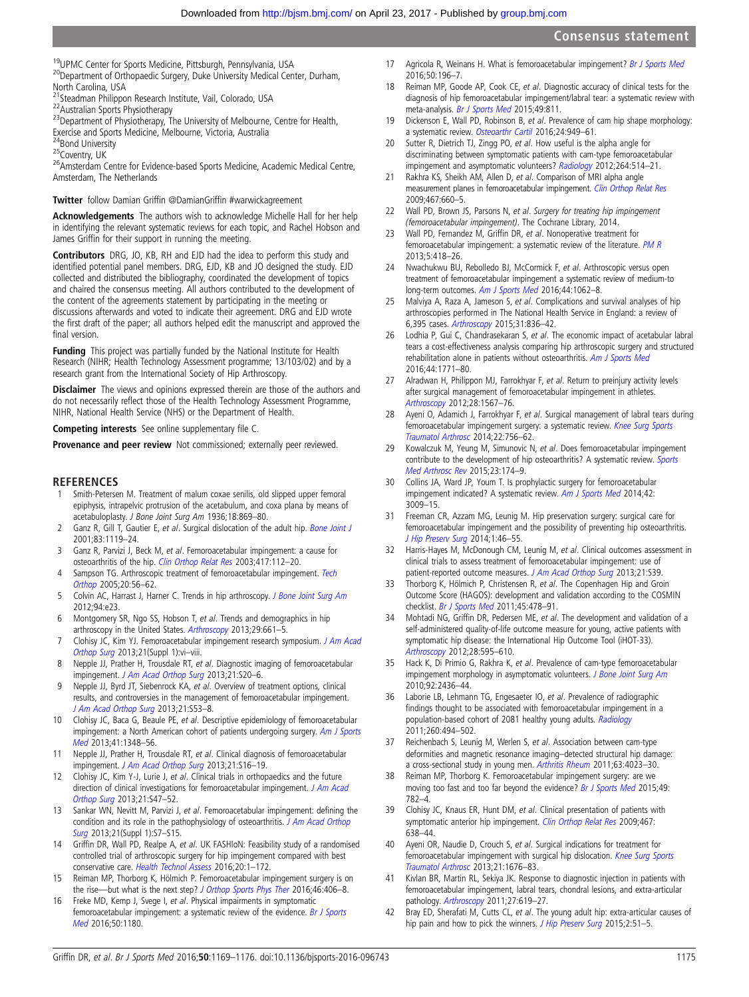<span id="page-6-0"></span><sup>19</sup>UPMC Center for Sports Medicine, Pittsburgh, Pennsylvania, USA<br><sup>20</sup>Department of Orthopaedic Surgery, Duke University Medical Center, Durham, North Carolina, USA<br><sup>21</sup>Steadman Philippon Research Institute, Vail, Colorado, USA

22<br>Australian Sports Physiotherapy<br><sup>23</sup>Department of Physiotherapy, The University of Melbourne, Centre for Health, Exercise and Sports Medicine, Melbourne, Victoria, Australia<br><sup>24</sup>Bond University

- 
- 

<sup>25</sup>Coventry, UK <sup>25</sup><br><sup>26</sup>Amsterdam Centre for Evidence-based Sports Medicine, Academic Medical Centre, Amsterdam, The Netherlands

#### Twitter follow Damian Griffin @DamianGriffi[n #warwickagreement](http://twitter.com/DamianGriffin)

Acknowledgements The authors wish to acknowledge Michelle Hall for her help in identifying the relevant systematic reviews for each topic, and Rachel Hobson and James Griffin for their support in running the meeting.

Contributors DRG, JO, KB, RH and EJD had the idea to perform this study and identified potential panel members. DRG, EJD, KB and JO designed the study. EJD collected and distributed the bibliography, coordinated the development of topics and chaired the consensus meeting. All authors contributed to the development of the content of the agreements statement by participating in the meeting or discussions afterwards and voted to indicate their agreement. DRG and EJD wrote the first draft of the paper; all authors helped edit the manuscript and approved the final version.

Funding This project was partially funded by the National Institute for Health Research (NIHR; Health Technology Assessment programme; 13/103/02) and by a research grant from the International Society of Hip Arthroscopy.

Disclaimer The views and opinions expressed therein are those of the authors and do not necessarily reflect those of the Health Technology Assessment Programme, NIHR, National Health Service (NHS) or the Department of Health.

Competing interests See online supplementary file C.

Provenance and peer review Not commissioned; externally peer reviewed.

#### **REFERENCES**

- 1 Smith-Petersen M. Treatment of malum coxae senilis, old slipped upper femoral epiphysis, intrapelvic protrusion of the acetabulum, and coxa plana by means of acetabuloplasty. J Bone Joint Surg Am 1936;18:869–80.
- 2 Ganz R, Gill T, Gautier E, et al. Surgical dislocation of the adult hip. [Bone Joint J](http://dx.doi.org/10.1302/0301-620X.83B8.11964) 2001;83:1119–24.
- 3 Ganz R, Parvizi J, Beck M, et al. Femoroacetabular impingement: a cause for osteoarthritis of the hip. [Clin Orthop Relat Res](http://dx.doi.org/10.1097/01.blo.0000096804.78689.c2) 2003;417:112-20.
- 4 Sampson TG. Arthroscopic treatment of femoroacetabular impingement. [Tech](http://dx.doi.org/10.1097/01.bto.0000153635.24366.b5) [Orthop](http://dx.doi.org/10.1097/01.bto.0000153635.24366.b5) 2005;20:56–62.
- 5 Colvin AC, Harrast J, Harner C. Trends in hip arthroscopy. [J Bone Joint Surg Am](http://dx.doi.org/10.2106/JBJS.J.01886) 2012;94:e23.
- 6 Montgomery SR, Ngo SS, Hobson T, et al. Trends and demographics in hip arthroscopy in the United States. [Arthroscopy](http://dx.doi.org/10.1016/j.arthro.2012.11.005) 2013;29:661-5.
- 7 Clohisy JC, Kim YJ. Femoroacetabular impingement research symposium. [J Am Acad](http://dx.doi.org/10.5435/JAAOS-21-07-vi) [Orthop Surg](http://dx.doi.org/10.5435/JAAOS-21-07-vi) 2013;21(Suppl 1):vi-viii.
- 8 Nepple JJ, Prather H, Trousdale RT, et al. Diagnostic imaging of femoroacetabular impingement. [J Am Acad Orthop Surg](http://dx.doi.org/10.5435/JAAOS-21-07-S20) 2013;21:S20–6.
- 9 Nepple JJ, Byrd JT, Siebenrock KA, et al. Overview of treatment options, clinical results, and controversies in the management of femoroacetabular impingement. [J Am Acad Orthop Surg](http://dx.doi.org/10.5435/JAAOS-21-07-S53) 2013;21:S53–8.
- 10 Clohisy JC, Baca G, Beaule PE, et al. Descriptive epidemiology of femoroacetabular impingement: a North American cohort of patients undergoing surgery. [Am J Sports](http://dx.doi.org/10.1177/0363546513488861) [Med](http://dx.doi.org/10.1177/0363546513488861) 2013;41:1348–56.
- 11 Nepple JJ, Prather H, Trousdale RT, et al. Clinical diagnosis of femoroacetabular impingement. [J Am Acad Orthop Surg](http://dx.doi.org/10.5435/JAAOS-21-07-S16) 2013;21:S16-19.
- 12 Clohisy JC, Kim Y-J, Lurie J, et al. Clinical trials in orthopaedics and the future direction of clinical investigations for femoroacetabular impingement. [J Am Acad](http://dx.doi.org/10.5435/JAAOS-21-07-S47) [Orthop Surg](http://dx.doi.org/10.5435/JAAOS-21-07-S47) 2013;21:S47–52.
- 13 Sankar WN, Nevitt M, Parvizi J, et al. Femoroacetabular impingement: defining the condition and its role in the pathophysiology of osteoarthritis. [J Am Acad Orthop](http://dx.doi.org/10.5435/JAAOS-21-07-S7) [Surg](http://dx.doi.org/10.5435/JAAOS-21-07-S7) 2013;21(Suppl 1):S7–S15.
- 14 Griffin DR, Wall PD, Realpe A, et al. UK FASHIoN: Feasibility study of a randomised controlled trial of arthroscopic surgery for hip impingement compared with best conservative care. [Health Technol Assess](http://dx.doi.org/10.3310/hta20320) 2016;20:1–172.
- 15 Reiman MP, Thorborg K, Hölmich P. Femoroacetabular impingement surgery is on the rise—but what is the next step? [J Orthop Sports Phys Ther](http://dx.doi.org/10.2519/jospt.2016.0605) 2016;46:406-8.
- 16 Freke MD, Kemp J, Svege I, et al. Physical impairments in symptomatic femoroacetabular impingement: a systematic review of the evidence. [Br J Sports](http://dx.doi.org/10.1136/bjsports-2016-096152) [Med](http://dx.doi.org/10.1136/bjsports-2016-096152) 2016;50:1180.
- 17 Agricola R, Weinans H. What is femoroacetabular impingement? [Br J Sports Med](http://dx.doi.org/10.1136/bjsports-2015-094766) 2016;50:196–7.
- 18 Reiman MP, Goode AP, Cook CE, et al. Diagnostic accuracy of clinical tests for the diagnosis of hip femoroacetabular impingement/labral tear: a systematic review with meta-analysis. [Br J Sports Med](http://dx.doi.org/10.1136/bjsports-2014-094302) 2015;49:811.
- 19 Dickenson E, Wall PD, Robinson B, et al. Prevalence of cam hip shape morphology: a systematic review. [Osteoarthr Cartil](http://dx.doi.org/10.1016/j.joca.2015.12.020) 2016;24:949-61.
- 20 Sutter R, Dietrich TJ, Zingg PO, et al. How useful is the alpha angle for discriminating between symptomatic patients with cam-type femoroacetabular impingement and asymptomatic volunteers? [Radiology](http://dx.doi.org/10.1148/radiol.12112479) 2012;264:514-21.
- 21 Rakhra KS, Sheikh AM, Allen D, et al. Comparison of MRI alpha angle measurement planes in femoroacetabular impingement. [Clin Orthop Relat Res](http://dx.doi.org/10.1007/s11999-008-0627-3) 2009;467:660–5.
- 22 Wall PD, Brown JS, Parsons N, et al. Surgery for treating hip impingement (femoroacetabular impingement). The Cochrane Library, 2014.
- 23 Wall PD, Fernandez M, Griffin DR, et al. Nonoperative treatment for femoroacetabular impingement: a systematic review of the literature. [PM R](http://dx.doi.org/10.1016/j.pmrj.2013.02.005) 2013;5:418–26.
- 24 Nwachukwu BU, Rebolledo BJ, McCormick F, et al. Arthroscopic versus open treatment of femoroacetabular impingement a systematic review of medium-to long-term outcomes. [Am J Sports Med](http://dx.doi.org/10.1177/0363546515587719) 2016;44:1062-8.
- 25 Malviya A, Raza A, Jameson S, et al. Complications and survival analyses of hip arthroscopies performed in The National Health Service in England: a review of 6,395 cases. [Arthroscopy](http://dx.doi.org/10.1016/j.arthro.2014.12.013) 2015;31:836–42.
- Lodhia P, Gui C, Chandrasekaran S, et al. The economic impact of acetabular labral tears a cost-effectiveness analysis comparing hip arthroscopic surgery and structured rehabilitation alone in patients without osteoarthritis. [Am J Sports Med](http://dx.doi.org/10.1177/0363546516645532) 2016;44:1771–80.
- 27 Alradwan H, Philippon MJ, Farrokhyar F, et al. Return to preinjury activity levels after surgical management of femoroacetabular impingement in athletes. [Arthroscopy](http://dx.doi.org/10.1016/j.arthro.2012.03.016) 2012;28:1567–76.
- 28 Ayeni O, Adamich J, Farrokhyar F, et al. Surgical management of labral tears during femoroacetabular impingement surgery: a systematic review. [Knee Surg Sports](http://dx.doi.org/10.1007/s00167-014-2886-8) [Traumatol Arthrosc](http://dx.doi.org/10.1007/s00167-014-2886-8) 2014;22:756–62.
- Kowalczuk M, Yeung M, Simunovic N, et al. Does femoroacetabular impingement contribute to the development of hip osteoarthritis? A systematic review. [Sports](http://dx.doi.org/10.1097/JSA.0000000000000091) [Med Arthrosc Rev](http://dx.doi.org/10.1097/JSA.0000000000000091) 2015;23:174–9.
- 30 Collins JA, Ward JP, Youm T. Is prophylactic surgery for femoroacetabular impingement indicated? A systematic review. [Am J Sports Med](http://dx.doi.org/10.1177/0363546513499227) 2014;42: 3009–15.
- 31 Freeman CR, Azzam MG, Leunig M. Hip preservation surgery: surgical care for femoroacetabular impingement and the possibility of preventing hip osteoarthritis. [J Hip Preserv Surg](http://dx.doi.org/10.1093/jhps/hnu015) 2014;1:46–55.
- 32 Harris-Hayes M, McDonough CM, Leunig M, et al. Clinical outcomes assessment in clinical trials to assess treatment of femoroacetabular impingement: use of patient-reported outcome measures. [J Am Acad Orthop Surg](http://dx.doi.org/10.5435/JAAOS-21-07-S39) 2013;21:S39.
- 33 Thorborg K, Hölmich P, Christensen R, et al. The Copenhagen Hip and Groin Outcome Score (HAGOS): development and validation according to the COSMIN checklist. [Br J Sports Med](http://dx.doi.org/10.1136/bjsm.2010.080937) 2011;45:478-91.
- Mohtadi NG, Griffin DR, Pedersen ME, et al. The development and validation of a self-administered quality-of-life outcome measure for young, active patients with symptomatic hip disease: the International Hip Outcome Tool (iHOT-33). [Arthroscopy](http://dx.doi.org/e1) 2012;28:595–610.
- 35 Hack K, Di Primio G, Rakhra K, et al. Prevalence of cam-type femoroacetabular impingement morphology in asymptomatic volunteers. *[J Bone Joint Surg Am](http://dx.doi.org/10.2106/JBJS.J.01280)* 2010;92:2436–44.
- Laborie LB, Lehmann TG, Engesaeter IO, et al. Prevalence of radiographic findings thought to be associated with femoroacetabular impingement in a population-based cohort of 2081 healthy young adults. [Radiology](http://dx.doi.org/10.1148/radiol.11102354) 2011;260:494–502.
- 37 Reichenbach S, Leunig M, Werlen S, et al. Association between cam-type deformities and magnetic resonance imaging–detected structural hip damage: a cross-sectional study in young men. [Arthritis Rheum](http://dx.doi.org/10.1002/art.30589) 2011;63:4023–30.
- 38 Reiman MP, Thorborg K. Femoroacetabular impingement surgery: are we moving too fast and too far beyond the evidence? [Br J Sports Med](http://dx.doi.org/10.1136/bjsports-2014-093821) 2015;49: 782–4.
- 39 Clohisy JC, Knaus ER, Hunt DM, et al. Clinical presentation of patients with symptomatic anterior hip impingement. [Clin Orthop Relat Res](http://dx.doi.org/10.1007/s11999-008-0680-y) 2009;467: 638–44.
- Ayeni OR, Naudie D, Crouch S, et al. Surgical indications for treatment for femoroacetabular impingement with surgical hip dislocation. [Knee Surg Sports](http://dx.doi.org/10.1007/s00167-012-2231-z) [Traumatol Arthrosc](http://dx.doi.org/10.1007/s00167-012-2231-z) 2013;21:1676–83.
- 41 Kivlan BR, Martin RL, Sekiya JK. Response to diagnostic injection in patients with femoroacetabular impingement, labral tears, chondral lesions, and extra-articular pathology. [Arthroscopy](http://dx.doi.org/10.1016/j.arthro.2010.12.009) 2011;27:619-27.
- 42 Bray ED, Sherafati M, Cutts CL, et al. The young adult hip: extra-articular causes of hip pain and how to pick the winners. [J Hip Preserv Surg](http://dx.doi.org/10.1093/jhps/hnv012) 2015;2:51-5.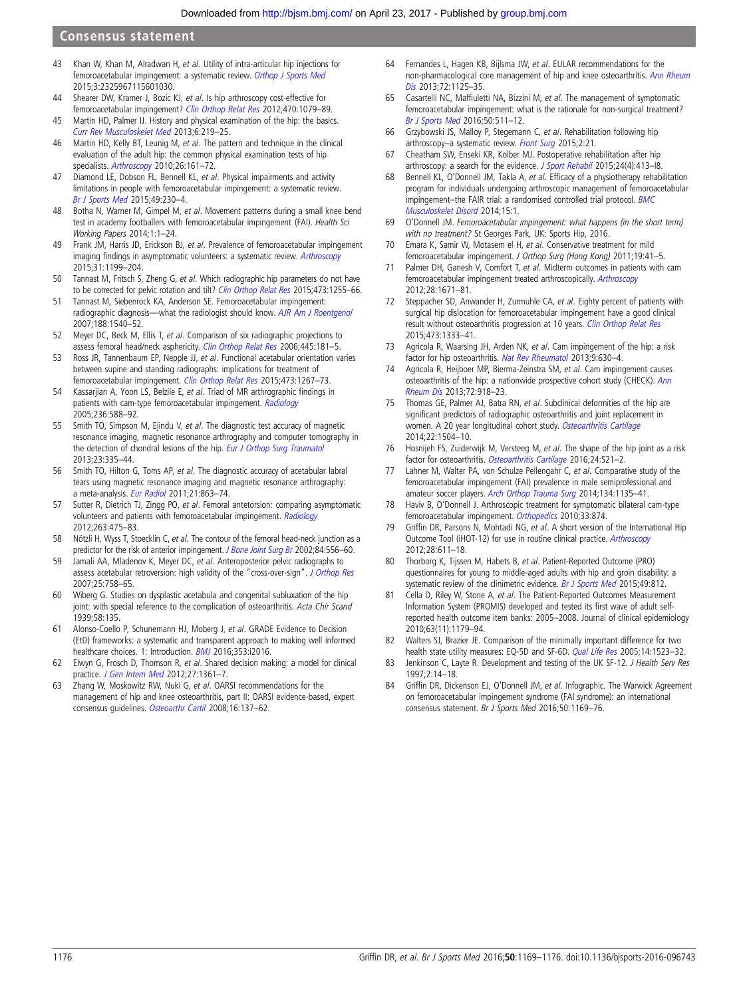#### <span id="page-7-0"></span>Consensus statement

- 43 Khan W, Khan M, Alradwan H, et al. Utility of intra-articular hip injections for femoroacetabular impingement: a systematic review. [Orthop J Sports Med](http://dx.doi.org/10.1177/2325967115601030) 2015;3:2325967115601030.
- 44 Shearer DW, Kramer J, Bozic KJ, et al. Is hip arthroscopy cost-effective for femoroacetabular impingement? [Clin Orthop Relat Res](http://dx.doi.org/10.1007/s11999-011-2023-7) 2012;470:1079–89.
- 45 Martin HD, Palmer IJ. History and physical examination of the hip: the basics. [Curr Rev Musculoskelet Med](http://dx.doi.org/10.1007/s12178-013-9175-x) 2013;6:219–25.
- 46 Martin HD, Kelly BT, Leunig M, et al. The pattern and technique in the clinical evaluation of the adult hip: the common physical examination tests of hip specialists. [Arthroscopy](http://dx.doi.org/10.1016/j.arthro.2009.07.015) 2010;26:161-72.
- 47 Diamond LE, Dobson FL, Bennell KL, et al. Physical impairments and activity limitations in people with femoroacetabular impingement: a systematic review. [Br J Sports Med](http://dx.doi.org/10.1136/bjsports-2013-093340) 2015;49:230–4.
- 48 Botha N, Warner M, Gimpel M, et al. Movement patterns during a small knee bend test in academy footballers with femoroacetabular impingement (FAI). Health Sci Working Papers 2014;1:1–24.
- 49 Frank JM, Harris JD, Erickson BJ, et al. Prevalence of femoroacetabular impingement imaging findings in asymptomatic volunteers: a systematic review. [Arthroscopy](http://dx.doi.org/10.1016/j.arthro.2014.11.042) 2015;31:1199–204.
- 50 Tannast M, Fritsch S, Zheng G, et al. Which radiographic hip parameters do not have to be corrected for pelvic rotation and tilt? [Clin Orthop Relat Res](http://dx.doi.org/10.1007/s11999-014-3936-8) 2015;473:1255-66.
- 51 Tannast M, Siebenrock KA, Anderson SE. Femoroacetabular impingement: radiographic diagnosis—what the radiologist should know. [AJR Am J Roentgenol](http://dx.doi.org/10.2214/AJR.06.0921) 2007;188:1540–52.
- 52 Meyer DC, Beck M, Ellis T, et al. Comparison of six radiographic projections to assess femoral head/neck asphericity. [Clin Orthop Relat Res](http://dx.doi.org/10.1097/01.blo.0000201168.72388.24) 2006;445:181-5.
- 53 Ross JR, Tannenbaum EP, Nepple JJ, et al. Functional acetabular orientation varies between supine and standing radiographs: implications for treatment of femoroacetabular impingement. [Clin Orthop Relat Res](http://dx.doi.org/10.1007/s11999-014-4104-x) 2015;473:1267–73.
- 54 Kassarjian A, Yoon LS, Belzile E, et al. Triad of MR arthrographic findings in patients with cam-type femoroacetabular impingement. [Radiology](http://dx.doi.org/10.1148/radiol.2362041987) 2005;236:588–92.
- 55 Smith TO, Simpson M, Ejindu V, et al. The diagnostic test accuracy of magnetic resonance imaging, magnetic resonance arthrography and computer tomography in the detection of chondral lesions of the hip. [Eur J Orthop Surg Traumatol](http://dx.doi.org/10.1007/s00590-012-0972-5) 2013;23:335–44.
- 56 Smith TO, Hilton G, Toms AP, et al. The diagnostic accuracy of acetabular labral tears using magnetic resonance imaging and magnetic resonance arthrography: a meta-analysis. [Eur Radiol](http://dx.doi.org/10.1007/s00330-010-1956-7) 2011;21:863-74.
- 57 Sutter R, Dietrich TJ, Zingg PO, et al. Femoral antetorsion: comparing asymptomatic volunteers and patients with femoroacetabular impingement. [Radiology](http://dx.doi.org/10.1148/radiol.12111903) 2012;263:475–83.
- 58 Nötzli H, Wyss T, Stoecklin C, et al. The contour of the femoral head-neck junction as a predictor for the risk of anterior impingement. [J Bone Joint Surg Br](http://dx.doi.org/10.1302/0301-620X.84B4.12014) 2002;84:556-60.
- 59 Jamali AA, Mladenov K, Meyer DC, et al. Anteroposterior pelvic radiographs to assess acetabular retroversion: high validity of the "cross-over-sign". [J Orthop Res](http://dx.doi.org/10.1002/jor.20380) 2007;25:758–65.
- 60 Wiberg G. Studies on dysplastic acetabula and congenital subluxation of the hip joint: with special reference to the complication of osteoarthritis. Acta Chir Scand 1939;58:135.
- 61 Alonso-Coello P, Schunemann HJ, Moberg J, et al. GRADE Evidence to Decision (EtD) frameworks: a systematic and transparent approach to making well informed healthcare choices. 1: Introduction. [BMJ](http://dx.doi.org/10.1136/bmj.i2016) 2016;353:i2016.
- 62 Elwyn G, Frosch D, Thomson R, et al. Shared decision making: a model for clinical practice. [J Gen Intern Med](http://dx.doi.org/10.1007/s11606-012-2077-6) 2012;27:1361–7.
- 63 Zhang W, Moskowitz RW, Nuki G, et al. OARSI recommendations for the management of hip and knee osteoarthritis, part II: OARSI evidence-based, expert consensus guidelines. [Osteoarthr Cartil](http://dx.doi.org/10.1016/j.joca.2007.12.013) 2008;16:137–62.
- 64 Fernandes L, Hagen KB, Bijlsma JW, et al. EULAR recommendations for the non-pharmacological core management of hip and knee osteoarthritis. [Ann Rheum](http://dx.doi.org/10.1136/annrheumdis-2012-202745) [Dis](http://dx.doi.org/10.1136/annrheumdis-2012-202745) 2013;72:1125-35.
- 65 Casartelli NC, Maffiuletti NA, Bizzini M, et al. The management of symptomatic femoroacetabular impingement: what is the rationale for non-surgical treatment? [Br J Sports Med](http://dx.doi.org/10.1136/bjsports-2015-095722) 2016;50:511–12.
- 66 Grzybowski JS, Malloy P, Stegemann C, et al. Rehabilitation following hip arthroscopy–a systematic review. [Front Surg](http://dx.doi.org/10.3389/fsurg.2015.00021) 2015;2:21.
- 67 Cheatham SW, Enseki KR, Kolber MJ. Postoperative rehabilitation after hip arthroscopy: a search for the evidence. [J Sport Rehabil](http://dx.doi.org/10.1123/JSR.2014-0208a) 2015;24(4):413-18.
- 68 Bennell KL, O'Donnell JM, Takla A, et al. Efficacy of a physiotherapy rehabilitation program for individuals undergoing arthroscopic management of femoroacetabular impingement–the FAIR trial: a randomised controlled trial protocol. [BMC](http://dx.doi.org/10.1186/1471-2474-15-1) [Musculoskelet Disord](http://dx.doi.org/10.1186/1471-2474-15-1) 2014;15:1.
- 69 O'Donnell JM. Femoroacetabular impingement: what happens (in the short term) with no treatment? St Georges Park, UK: Sports Hip, 2016.
- 70 Emara K, Samir W, Motasem el H, et al. Conservative treatment for mild femoroacetabular impingement. J Orthop Surg (Hong Kong) 2011;19:41-5.
- 71 Palmer DH, Ganesh V, Comfort T, et al. Midterm outcomes in patients with cam femoroacetabular impingement treated arthroscopically. [Arthroscopy](http://dx.doi.org/10.1016/j.arthro.2012.04.154) 2012;28:1671–81.
- 72 Steppacher SD, Anwander H, Zurmuhle CA, et al. Eighty percent of patients with surgical hip dislocation for femoroacetabular impingement have a good clinical result without osteoarthritis progression at 10 years. [Clin Orthop Relat Res](http://dx.doi.org/10.1007/s11999-014-4025-8) 2015;473:1333–41.
- 73 Agricola R, Waarsing JH, Arden NK, et al. Cam impingement of the hip: a risk factor for hip osteoarthritis. [Nat Rev Rheumatol](http://dx.doi.org/10.1038/nrrheum.2013.114) 2013;9:630-4.
- 74 Agricola R, Heijboer MP, Bierma-Zeinstra SM, et al. Cam impingement causes osteoarthritis of the hip: a nationwide prospective cohort study (CHECK). [Ann](http://dx.doi.org/10.1136/annrheumdis-2012-201643) [Rheum Dis](http://dx.doi.org/10.1136/annrheumdis-2012-201643) 2013;72:918–23.
- 75 Thomas GE, Palmer AJ, Batra RN, et al. Subclinical deformities of the hip are significant predictors of radiographic osteoarthritis and joint replacement in women. A 20 year longitudinal cohort study. [Osteoarthritis Cartilage](http://dx.doi.org/10.1016/j.joca.2014.06.038) 2014;22:1504–10.
- 76 Hosnijeh FS, Zuiderwijk M, Versteeg M, et al. The shape of the hip joint as a risk factor for osteoarthritis. [Osteoarthritis Cartilage](http://dx.doi.org/10.1016/j.joca.2016.01.067) 2016;24:S21-2.
- 77 Lahner M, Walter PA, von Schulze Pellengahr C, et al. Comparative study of the femoroacetabular impingement (FAI) prevalence in male semiprofessional and amateur soccer players. [Arch Orthop Trauma Surg](http://dx.doi.org/10.1007/s00402-014-2008-6) 2014;134:1135-41.
- 78 Haviv B, O'Donnell J. Arthroscopic treatment for symptomatic bilateral cam-type femoroacetabular impingement. [Orthopedics](http://dx.doi.org/10.3928/01477447-20101021-14) 2010;33:874.
- 79 Griffin DR, Parsons N, Mohtadi NG, et al. A short version of the International Hip Outcome Tool (iHOT-12) for use in routine clinical practice. [Arthroscopy](http://dx.doi.org/10.1016/j.arthro.2012.02.027) 2012;28:611–18.
- Thorborg K, Tijssen M, Habets B, et al. Patient-Reported Outcome (PRO) questionnaires for young to middle-aged adults with hip and groin disability: a systematic review of the clinimetric evidence. [Br J Sports Med](http://dx.doi.org/10.1136/bjsports-2014-094224) 2015;49:812.
- 81 Cella D, Riley W, Stone A, et al. The Patient-Reported Outcomes Measurement Information System (PROMIS) developed and tested its first wave of adult selfreported health outcome item banks: 2005–2008. Journal of clinical epidemiology 2010;63(11):1179–94.
- 82 Walters SJ, Brazier JE. Comparison of the minimally important difference for two health state utility measures: EQ-5D and SF-6D. [Qual Life Res](http://dx.doi.org/10.1007/s11136-004-7713-0) 2005;14:1523-32.
- 83 Jenkinson C, Layte R. Development and testing of the UK SF-12. J Health Serv Res 1997;2:14–18.
- 84 Griffin DR, Dickenson EJ, O'Donnell JM, et al. Infographic. The Warwick Agreement on femoroacetabular impingement syndrome (FAI syndrome): an international consensus statement. Br J Sports Med 2016;50:1169–76.